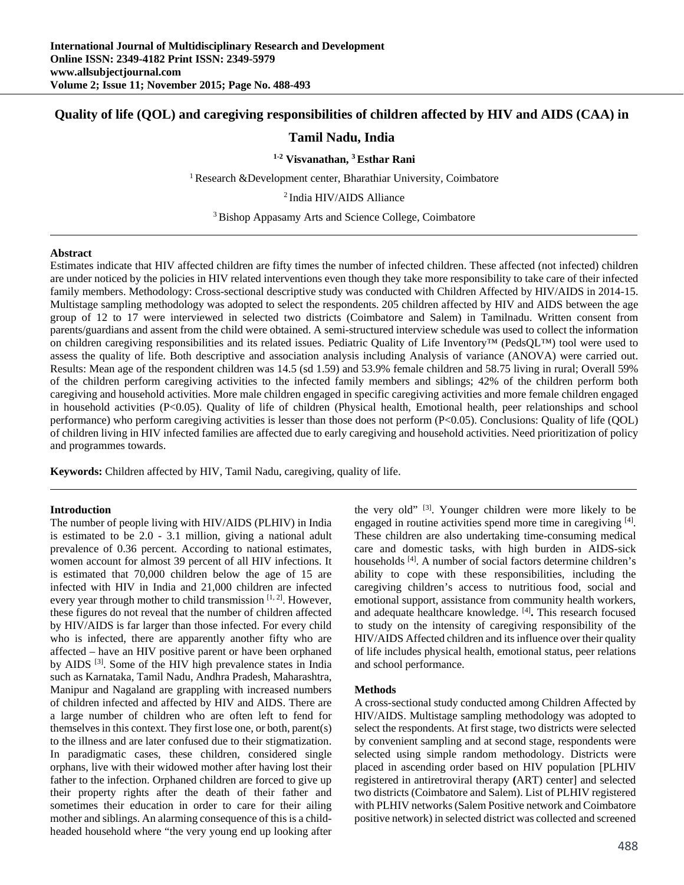# **Quality of life (QOL) and caregiving responsibilities of children affected by HIV and AIDS (CAA) in**

# **Tamil Nadu, India**

**1-2 Visvanathan, 3 Esthar Rani** 

<sup>1</sup> Research &Development center, Bharathiar University, Coimbatore

<sup>2</sup> India HIV/AIDS Alliance

3 Bishop Appasamy Arts and Science College, Coimbatore

#### **Abstract**

Estimates indicate that HIV affected children are fifty times the number of infected children. These affected (not infected) children are under noticed by the policies in HIV related interventions even though they take more responsibility to take care of their infected family members. Methodology: Cross-sectional descriptive study was conducted with Children Affected by HIV/AIDS in 2014-15. Multistage sampling methodology was adopted to select the respondents. 205 children affected by HIV and AIDS between the age group of 12 to 17 were interviewed in selected two districts (Coimbatore and Salem) in Tamilnadu. Written consent from parents/guardians and assent from the child were obtained. A semi-structured interview schedule was used to collect the information on children caregiving responsibilities and its related issues. Pediatric Quality of Life Inventory™ (PedsQL™) tool were used to assess the quality of life. Both descriptive and association analysis including Analysis of variance (ANOVA) were carried out. Results: Mean age of the respondent children was 14.5 (sd 1.59) and 53.9% female children and 58.75 living in rural; Overall 59% of the children perform caregiving activities to the infected family members and siblings; 42% of the children perform both caregiving and household activities. More male children engaged in specific caregiving activities and more female children engaged in household activities (P<0.05). Quality of life of children (Physical health, Emotional health, peer relationships and school performance) who perform caregiving activities is lesser than those does not perform (P<0.05). Conclusions: Quality of life (QOL) of children living in HIV infected families are affected due to early caregiving and household activities. Need prioritization of policy and programmes towards.

**Keywords:** Children affected by HIV, Tamil Nadu, caregiving, quality of life.

#### **Introduction**

The number of people living with HIV/AIDS (PLHIV) in India is estimated to be 2.0 - 3.1 million, giving a national adult prevalence of 0.36 percent. According to national estimates, women account for almost 39 percent of all HIV infections. It is estimated that 70,000 children below the age of 15 are infected with HIV in India and 21,000 children are infected every year through mother to child transmission  $[1, 2]$ . However, these figures do not reveal that the number of children affected by HIV/AIDS is far larger than those infected. For every child who is infected, there are apparently another fifty who are affected – have an HIV positive parent or have been orphaned by AIDS<sup>[3]</sup>. Some of the HIV high prevalence states in India such as Karnataka, Tamil Nadu, Andhra Pradesh, Maharashtra, Manipur and Nagaland are grappling with increased numbers of children infected and affected by HIV and AIDS. There are a large number of children who are often left to fend for themselves in this context. They first lose one, or both, parent(s) to the illness and are later confused due to their stigmatization. In paradigmatic cases, these children, considered single orphans, live with their widowed mother after having lost their father to the infection. Orphaned children are forced to give up their property rights after the death of their father and sometimes their education in order to care for their ailing mother and siblings. An alarming consequence of this is a childheaded household where "the very young end up looking after the very old" [3]. Younger children were more likely to be engaged in routine activities spend more time in caregiving [4]. These children are also undertaking time-consuming medical care and domestic tasks, with high burden in AIDS-sick households [4]. A number of social factors determine children's ability to cope with these responsibilities, including the caregiving children's access to nutritious food, social and emotional support, assistance from community health workers, and adequate healthcare knowledge. [4]**.** This research focused to study on the intensity of caregiving responsibility of the HIV/AIDS Affected children and its influence over their quality of life includes physical health, emotional status, peer relations and school performance.

#### **Methods**

A cross-sectional study conducted among Children Affected by HIV/AIDS. Multistage sampling methodology was adopted to select the respondents. At first stage, two districts were selected by convenient sampling and at second stage, respondents were selected using simple random methodology. Districts were placed in ascending order based on HIV population [PLHIV registered in antiretroviral therapy **(**ART) center] and selected two districts (Coimbatore and Salem). List of PLHIV registered with PLHIV networks (Salem Positive network and Coimbatore positive network) in selected district was collected and screened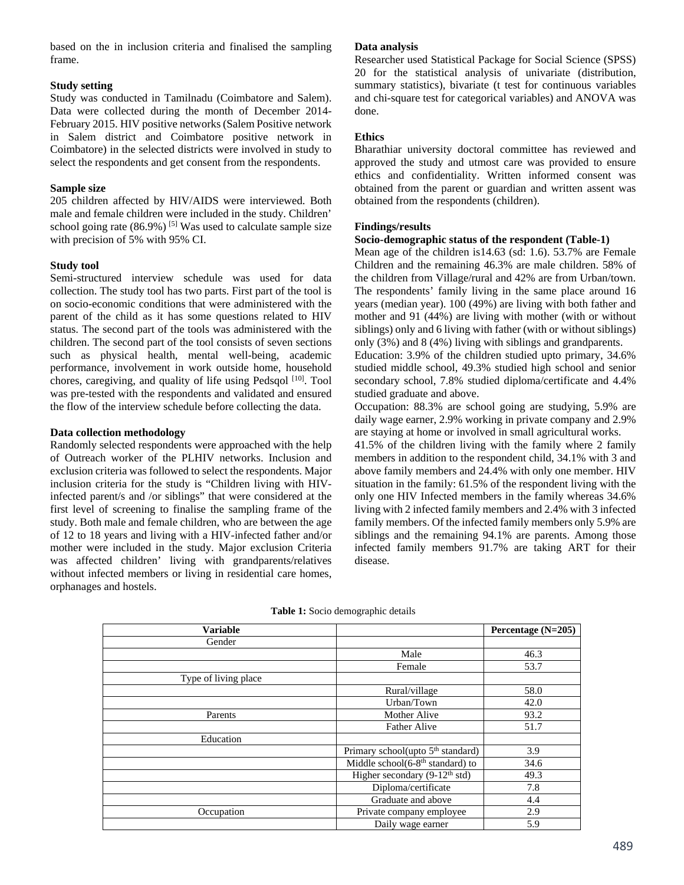based on the in inclusion criteria and finalised the sampling frame.

# **Study setting**

Study was conducted in Tamilnadu (Coimbatore and Salem). Data were collected during the month of December 2014- February 2015. HIV positive networks (Salem Positive network in Salem district and Coimbatore positive network in Coimbatore) in the selected districts were involved in study to select the respondents and get consent from the respondents.

### **Sample size**

205 children affected by HIV/AIDS were interviewed. Both male and female children were included in the study. Children' school going rate  $(86.9\%)$ <sup>[5]</sup> Was used to calculate sample size with precision of 5% with 95% CI.

# **Study tool**

Semi-structured interview schedule was used for data collection. The study tool has two parts. First part of the tool is on socio-economic conditions that were administered with the parent of the child as it has some questions related to HIV status. The second part of the tools was administered with the children. The second part of the tool consists of seven sections such as physical health, mental well-being, academic performance, involvement in work outside home, household chores, caregiving, and quality of life using Pedsqol  $[10]$ . Tool was pre-tested with the respondents and validated and ensured the flow of the interview schedule before collecting the data.

# **Data collection methodology**

Randomly selected respondents were approached with the help of Outreach worker of the PLHIV networks. Inclusion and exclusion criteria was followed to select the respondents. Major inclusion criteria for the study is "Children living with HIVinfected parent/s and /or siblings" that were considered at the first level of screening to finalise the sampling frame of the study. Both male and female children, who are between the age of 12 to 18 years and living with a HIV-infected father and/or mother were included in the study. Major exclusion Criteria was affected children' living with grandparents/relatives without infected members or living in residential care homes, orphanages and hostels.

# **Data analysis**

Researcher used Statistical Package for Social Science (SPSS) 20 for the statistical analysis of univariate (distribution, summary statistics), bivariate (t test for continuous variables and chi-square test for categorical variables) and ANOVA was done.

# **Ethics**

Bharathiar university doctoral committee has reviewed and approved the study and utmost care was provided to ensure ethics and confidentiality. Written informed consent was obtained from the parent or guardian and written assent was obtained from the respondents (children).

# **Findings/results**

# **Socio-demographic status of the respondent (Table-1)**

Mean age of the children is14.63 (sd: 1.6). 53.7% are Female Children and the remaining 46.3% are male children. 58% of the children from Village/rural and 42% are from Urban/town. The respondents' family living in the same place around 16 years (median year). 100 (49%) are living with both father and mother and 91 (44%) are living with mother (with or without siblings) only and 6 living with father (with or without siblings) only (3%) and 8 (4%) living with siblings and grandparents.

Education: 3.9% of the children studied upto primary, 34.6% studied middle school, 49.3% studied high school and senior secondary school, 7.8% studied diploma/certificate and 4.4% studied graduate and above.

Occupation: 88.3% are school going are studying, 5.9% are daily wage earner, 2.9% working in private company and 2.9% are staying at home or involved in small agricultural works.

41.5% of the children living with the family where 2 family members in addition to the respondent child, 34.1% with 3 and above family members and 24.4% with only one member. HIV situation in the family: 61.5% of the respondent living with the only one HIV Infected members in the family whereas 34.6% living with 2 infected family members and 2.4% with 3 infected family members. Of the infected family members only 5.9% are siblings and the remaining 94.1% are parents. Among those infected family members 91.7% are taking ART for their disease.

| <b>Variable</b>      |                                                   | Percentage $(N=205)$ |
|----------------------|---------------------------------------------------|----------------------|
| Gender               |                                                   |                      |
|                      | Male                                              | 46.3                 |
|                      | Female                                            | 53.7                 |
| Type of living place |                                                   |                      |
|                      | Rural/village                                     | 58.0                 |
|                      | Urban/Town                                        | 42.0                 |
| Parents              | Mother Alive                                      | 93.2                 |
|                      | <b>Father Alive</b>                               | 51.7                 |
| Education            |                                                   |                      |
|                      | Primary school(upto 5 <sup>th</sup> standard)     | 3.9                  |
|                      | Middle school $(6-8th$ standard) to               | 34.6                 |
|                      | Higher secondary $(9-12^{\text{th}} \text{ std})$ | 49.3                 |
|                      | Diploma/certificate                               | 7.8                  |
|                      | Graduate and above                                | 4.4                  |
| Occupation           | Private company employee                          | 2.9                  |
|                      | Daily wage earner                                 | 5.9                  |

**Table 1:** Socio demographic details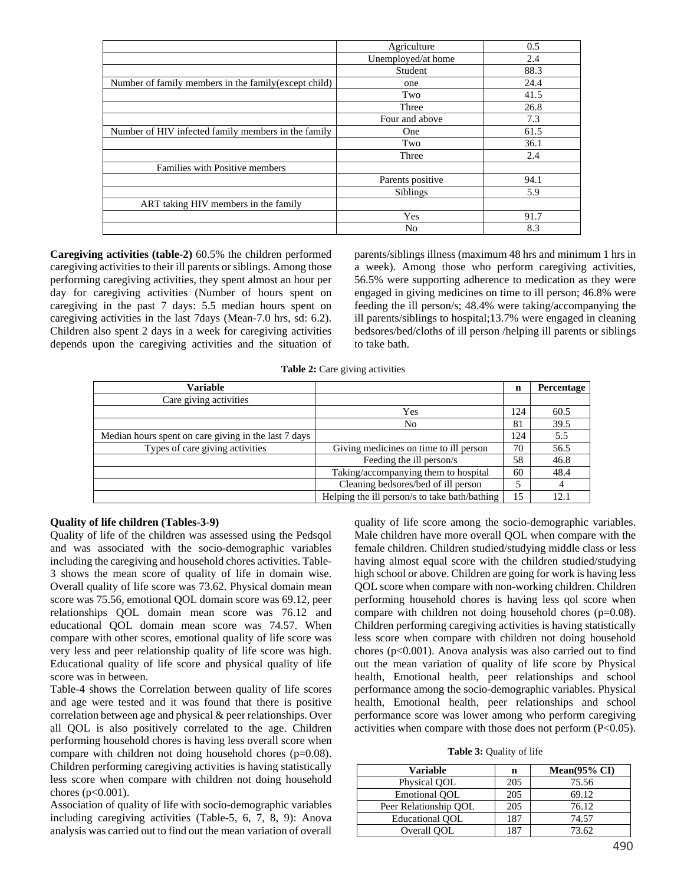|                                                       | Agriculture        | 0.5  |
|-------------------------------------------------------|--------------------|------|
|                                                       | Unemployed/at home | 2.4  |
|                                                       | Student            | 88.3 |
| Number of family members in the family (except child) | one                | 24.4 |
|                                                       | Two                | 41.5 |
|                                                       | Three              | 26.8 |
|                                                       | Four and above     | 7.3  |
| Number of HIV infected family members in the family   | One                | 61.5 |
|                                                       | Two                | 36.1 |
|                                                       | Three              | 2.4  |
| Families with Positive members                        |                    |      |
|                                                       | Parents positive   | 94.1 |
|                                                       | Siblings           | 5.9  |
| ART taking HIV members in the family                  |                    |      |
|                                                       | Yes                | 91.7 |
|                                                       | No                 | 8.3  |

**Caregiving activities (table-2)** 60.5% the children performed caregiving activities to their ill parents or siblings. Among those performing caregiving activities, they spent almost an hour per day for caregiving activities (Number of hours spent on caregiving in the past 7 days: 5.5 median hours spent on caregiving activities in the last 7days (Mean-7.0 hrs, sd: 6.2). Children also spent 2 days in a week for caregiving activities depends upon the caregiving activities and the situation of parents/siblings illness (maximum 48 hrs and minimum 1 hrs in a week). Among those who perform caregiving activities, 56.5% were supporting adherence to medication as they were engaged in giving medicines on time to ill person; 46.8% were feeding the ill person/s; 48.4% were taking/accompanying the ill parents/siblings to hospital;13.7% were engaged in cleaning bedsores/bed/cloths of ill person /helping ill parents or siblings to take bath.

**Table 2:** Care giving activities

| <b>Variable</b>                                      |                                               | n   | Percentage |
|------------------------------------------------------|-----------------------------------------------|-----|------------|
| Care giving activities                               |                                               |     |            |
|                                                      | Yes                                           | 124 | 60.5       |
|                                                      | No                                            | 81  | 39.5       |
| Median hours spent on care giving in the last 7 days |                                               | 124 | 5.5        |
| Types of care giving activities                      | Giving medicines on time to ill person        | 70  | 56.5       |
|                                                      | Feeding the ill person/s                      | 58  | 46.8       |
|                                                      | Taking/accompanying them to hospital          | 60  | 48.4       |
|                                                      | Cleaning bedsores/bed of ill person           |     | 4          |
|                                                      | Helping the ill person/s to take bath/bathing | 15  | 12.1       |

# **Quality of life children (Tables-3-9)**

Quality of life of the children was assessed using the Pedsqol and was associated with the socio-demographic variables including the caregiving and household chores activities. Table-3 shows the mean score of quality of life in domain wise. Overall quality of life score was 73.62. Physical domain mean score was 75.56, emotional QOL domain score was 69.12, peer relationships QOL domain mean score was 76.12 and educational QOL domain mean score was 74.57. When compare with other scores, emotional quality of life score was very less and peer relationship quality of life score was high. Educational quality of life score and physical quality of life score was in between.

Table-4 shows the Correlation between quality of life scores and age were tested and it was found that there is positive correlation between age and physical & peer relationships. Over all QOL is also positively correlated to the age. Children performing household chores is having less overall score when compare with children not doing household chores (p=0.08). Children performing caregiving activities is having statistically less score when compare with children not doing household chores ( $p < 0.001$ ).

Association of quality of life with socio-demographic variables including caregiving activities (Table-5, 6, 7, 8, 9): Anova analysis was carried out to find out the mean variation of overall

quality of life score among the socio-demographic variables. Male children have more overall QOL when compare with the female children. Children studied/studying middle class or less having almost equal score with the children studied/studying high school or above. Children are going for work is having less QOL score when compare with non-working children. Children performing household chores is having less qol score when compare with children not doing household chores (p=0.08). Children performing caregiving activities is having statistically less score when compare with children not doing household chores (p<0.001). Anova analysis was also carried out to find out the mean variation of quality of life score by Physical health, Emotional health, peer relationships and school performance among the socio-demographic variables. Physical health, Emotional health, peer relationships and school performance score was lower among who perform caregiving activities when compare with those does not perform (P<0.05).

**Table 3:** Quality of life

| <b>Variable</b>        | n   | Mean $(95\% \text{ CI})$ |
|------------------------|-----|--------------------------|
| Physical QOL           | 205 | 75.56                    |
| Emotional OOL          | 205 | 69.12                    |
| Peer Relationship QOL  | 205 | 76.12                    |
| <b>Educational OOL</b> | 187 | 74.57                    |
| Overall OOL            | 187 | 73.62                    |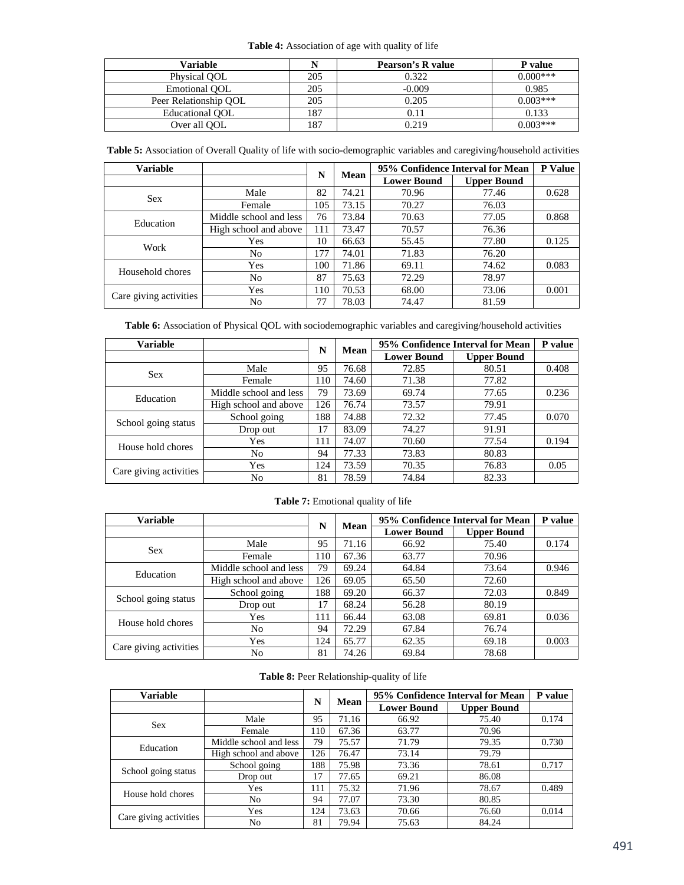# **Table 4:** Association of age with quality of life

| Variable               |     | Pearson's R value | P value    |
|------------------------|-----|-------------------|------------|
| Physical OOL           | 205 | 0.322             | $0.000***$ |
| Emotional OOL          | 205 | $-0.009$          | 0.985      |
| Peer Relationship OOL  | 205 | 0.205             | $0.003***$ |
| <b>Educational OOL</b> | 187 | 0.11              | 0.133      |
| Over all OOL           | 187 | 0.219             | $0.003***$ |

**Table 5:** Association of Overall Quality of life with socio-demographic variables and caregiving/household activities

| <b>Variable</b>        |                        | N   | Mean  |                    | 95% Confidence Interval for Mean | P Value |  |
|------------------------|------------------------|-----|-------|--------------------|----------------------------------|---------|--|
|                        |                        |     |       | <b>Lower Bound</b> | <b>Upper Bound</b>               |         |  |
| <b>Sex</b>             | Male                   | 82  | 74.21 | 70.96              | 77.46                            | 0.628   |  |
|                        | Female                 | 105 | 73.15 | 70.27              | 76.03                            |         |  |
|                        | Middle school and less | 76  | 73.84 | 70.63              | 77.05                            | 0.868   |  |
| Education              | High school and above  | 111 | 73.47 | 70.57              | 76.36                            |         |  |
| Work                   | Yes                    | 10  | 66.63 | 55.45              | 77.80                            | 0.125   |  |
|                        | No                     | 177 | 74.01 | 71.83              | 76.20                            |         |  |
| Household chores       | Yes                    | 100 | 71.86 | 69.11              | 74.62                            | 0.083   |  |
|                        | No                     | 87  | 75.63 | 72.29              | 78.97                            |         |  |
|                        | Yes                    | 110 | 70.53 | 68.00              | 73.06                            | 0.001   |  |
| Care giving activities | No                     | 77  | 78.03 | 74.47              | 81.59                            |         |  |

**Table 6:** Association of Physical QOL with sociodemographic variables and caregiving/household activities

| Variable               |                        | N   | <b>Mean</b> |                    | 95% Confidence Interval for Mean | P value |
|------------------------|------------------------|-----|-------------|--------------------|----------------------------------|---------|
|                        |                        |     |             | <b>Lower Bound</b> | <b>Upper Bound</b>               |         |
| <b>Sex</b>             | Male                   | 95  | 76.68       | 72.85              | 80.51                            | 0.408   |
|                        | Female                 | 110 | 74.60       | 71.38              | 77.82                            |         |
| Education              | Middle school and less | 79  | 73.69       | 69.74              | 77.65                            | 0.236   |
|                        | High school and above  | 126 | 76.74       | 73.57              | 79.91                            |         |
|                        | School going           | 188 | 74.88       | 72.32              | 77.45                            | 0.070   |
| School going status    | Drop out               | 17  | 83.09       | 74.27              | 91.91                            |         |
| House hold chores      | Yes                    | 111 | 74.07       | 70.60              | 77.54                            | 0.194   |
|                        | No                     | 94  | 77.33       | 73.83              | 80.83                            |         |
|                        | Yes                    | 124 | 73.59       | 70.35              | 76.83                            | 0.05    |
| Care giving activities | No                     | 81  | 78.59       | 74.84              | 82.33                            |         |

#### **Table 7:** Emotional quality of life

| <b>Variable</b>        |                        | N   | <b>Mean</b> |                    | 95% Confidence Interval for Mean | P value |  |
|------------------------|------------------------|-----|-------------|--------------------|----------------------------------|---------|--|
|                        |                        |     |             | <b>Lower Bound</b> | <b>Upper Bound</b>               |         |  |
| <b>Sex</b>             | Male                   | 95  | 71.16       | 66.92              | 75.40                            | 0.174   |  |
|                        | Female                 | 110 | 67.36       | 63.77              | 70.96                            |         |  |
| Education              | Middle school and less | 79  | 69.24       | 64.84              | 73.64                            | 0.946   |  |
|                        | High school and above  | 126 | 69.05       | 65.50              | 72.60                            |         |  |
|                        | School going           | 188 | 69.20       | 66.37              | 72.03                            | 0.849   |  |
| School going status    | Drop out               | 17  | 68.24       | 56.28              | 80.19                            |         |  |
| House hold chores      | Yes                    | 111 | 66.44       | 63.08              | 69.81                            | 0.036   |  |
|                        | No                     | 94  | 72.29       | 67.84              | 76.74                            |         |  |
| Care giving activities | Yes                    | 124 | 65.77       | 62.35              | 69.18                            | 0.003   |  |
|                        | No                     | 81  | 74.26       | 69.84              | 78.68                            |         |  |

# **Table 8:** Peer Relationship-quality of life

| Variable               |                        |     |       |                    | 95% Confidence Interval for Mean | P value |  |  |
|------------------------|------------------------|-----|-------|--------------------|----------------------------------|---------|--|--|
|                        |                        | N   | Mean  | <b>Lower Bound</b> | <b>Upper Bound</b>               |         |  |  |
| <b>Sex</b>             | Male                   | 95  | 71.16 | 66.92              | 75.40                            | 0.174   |  |  |
|                        | Female                 | 110 | 67.36 | 63.77              | 70.96                            |         |  |  |
| Education              | Middle school and less | 79  | 75.57 | 71.79              | 79.35                            | 0.730   |  |  |
|                        | High school and above  | 126 | 76.47 | 73.14              | 79.79                            |         |  |  |
| School going status    | School going           | 188 | 75.98 | 73.36              | 78.61                            | 0.717   |  |  |
|                        | Drop out               | 17  | 77.65 | 69.21              | 86.08                            |         |  |  |
| House hold chores      | Yes                    | 111 | 75.32 | 71.96              | 78.67                            | 0.489   |  |  |
|                        | No                     | 94  | 77.07 | 73.30              | 80.85                            |         |  |  |
|                        | Yes                    | 124 | 73.63 | 70.66              | 76.60                            | 0.014   |  |  |
| Care giving activities | No                     | 81  | 79.94 | 75.63              | 84.24                            |         |  |  |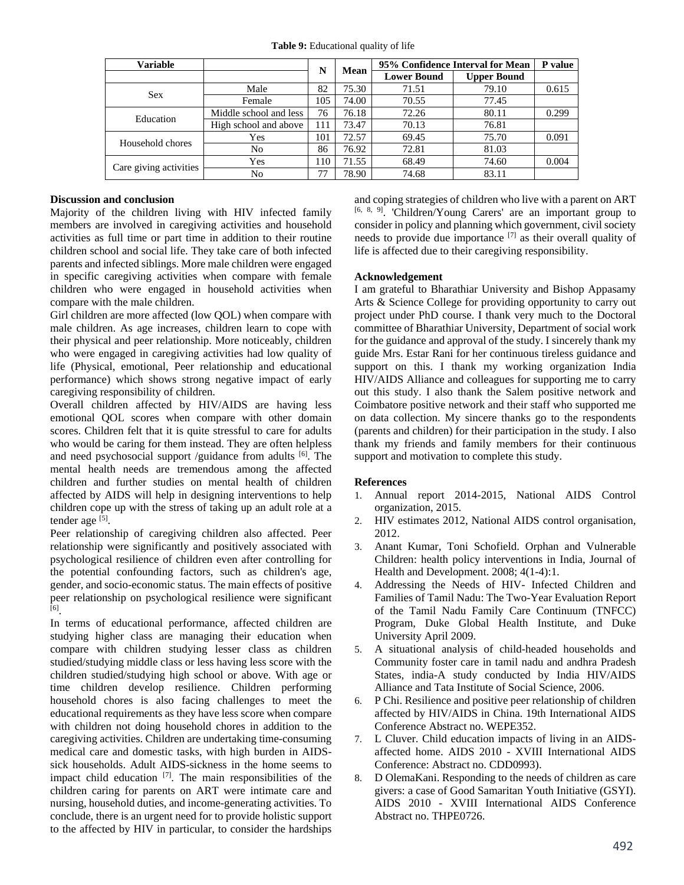**Table 9:** Educational quality of life

| <b>Variable</b>        |                        | N   | <b>Mean</b> |                    | 95% Confidence Interval for Mean |       |  |  |
|------------------------|------------------------|-----|-------------|--------------------|----------------------------------|-------|--|--|
|                        |                        |     |             | <b>Lower Bound</b> | <b>Upper Bound</b>               |       |  |  |
| <b>Sex</b>             | Male                   | 82  | 75.30       | 71.51              | 79.10                            | 0.615 |  |  |
|                        | Female                 | 105 | 74.00       | 70.55              | 77.45                            |       |  |  |
| Education              | Middle school and less | 76  | 76.18       | 72.26              | 80.11                            | 0.299 |  |  |
|                        | High school and above  | 111 | 73.47       | 70.13              | 76.81                            |       |  |  |
| Household chores       | Yes                    | 101 | 72.57       | 69.45              | 75.70                            | 0.091 |  |  |
|                        | No                     | 86  | 76.92       | 72.81              | 81.03                            |       |  |  |
|                        | Yes                    | 110 | 71.55       | 68.49              | 74.60                            | 0.004 |  |  |
| Care giving activities | No                     | 77  | 78.90       | 74.68              | 83.11                            |       |  |  |

# **Discussion and conclusion**

Majority of the children living with HIV infected family members are involved in caregiving activities and household activities as full time or part time in addition to their routine children school and social life. They take care of both infected parents and infected siblings. More male children were engaged in specific caregiving activities when compare with female children who were engaged in household activities when compare with the male children.

Girl children are more affected (low QOL) when compare with male children. As age increases, children learn to cope with their physical and peer relationship. More noticeably, children who were engaged in caregiving activities had low quality of life (Physical, emotional, Peer relationship and educational performance) which shows strong negative impact of early caregiving responsibility of children.

Overall children affected by HIV/AIDS are having less emotional QOL scores when compare with other domain scores. Children felt that it is quite stressful to care for adults who would be caring for them instead. They are often helpless and need psychosocial support /guidance from adults [6]. The mental health needs are tremendous among the affected children and further studies on mental health of children affected by AIDS will help in designing interventions to help children cope up with the stress of taking up an adult role at a tender age <sup>[5]</sup>.

Peer relationship of caregiving children also affected. Peer relationship were significantly and positively associated with psychological resilience of children even after controlling for the potential confounding factors, such as children's age, gender, and socio-economic status. The main effects of positive peer relationship on psychological resilience were significant [6].

In terms of educational performance, affected children are studying higher class are managing their education when compare with children studying lesser class as children studied/studying middle class or less having less score with the children studied/studying high school or above. With age or time children develop resilience. Children performing household chores is also facing challenges to meet the educational requirements as they have less score when compare with children not doing household chores in addition to the caregiving activities. Children are undertaking time-consuming medical care and domestic tasks, with high burden in AIDSsick households. Adult AIDS-sickness in the home seems to impact child education  $[7]$ . The main responsibilities of the children caring for parents on ART were intimate care and nursing, household duties, and income-generating activities. To conclude, there is an urgent need for to provide holistic support to the affected by HIV in particular, to consider the hardships

and coping strategies of children who live with a parent on ART [6, 8, 9]. 'Children/Young Carers' are an important group to consider in policy and planning which government, civil society needs to provide due importance [7] as their overall quality of life is affected due to their caregiving responsibility.

# **Acknowledgement**

I am grateful to Bharathiar University and Bishop Appasamy Arts & Science College for providing opportunity to carry out project under PhD course. I thank very much to the Doctoral committee of Bharathiar University, Department of social work for the guidance and approval of the study. I sincerely thank my guide Mrs. Estar Rani for her continuous tireless guidance and support on this. I thank my working organization India HIV/AIDS Alliance and colleagues for supporting me to carry out this study. I also thank the Salem positive network and Coimbatore positive network and their staff who supported me on data collection. My sincere thanks go to the respondents (parents and children) for their participation in the study. I also thank my friends and family members for their continuous support and motivation to complete this study.

#### **References**

- 1. Annual report 2014-2015, National AIDS Control organization, 2015.
- 2. HIV estimates 2012, National AIDS control organisation, 2012.
- 3. Anant Kumar, Toni Schofield. Orphan and Vulnerable Children: health policy interventions in India, Journal of Health and Development. 2008; 4(1-4):1.
- 4. Addressing the Needs of HIV- Infected Children and Families of Tamil Nadu: The Two-Year Evaluation Report of the Tamil Nadu Family Care Continuum (TNFCC) Program, Duke Global Health Institute, and Duke University April 2009.
- 5. A situational analysis of child-headed households and Community foster care in tamil nadu and andhra Pradesh States, india-A study conducted by India HIV/AIDS Alliance and Tata Institute of Social Science, 2006.
- 6. P Chi. Resilience and positive peer relationship of children affected by HIV/AIDS in China. 19th International AIDS Conference Abstract no. WEPE352.
- 7. L Cluver. Child education impacts of living in an AIDSaffected home. AIDS 2010 - XVIII International AIDS Conference: Abstract no. CDD0993).
- 8. D OlemaKani. Responding to the needs of children as care givers: a case of Good Samaritan Youth Initiative (GSYI). AIDS 2010 - XVIII International AIDS Conference Abstract no. THPE0726.